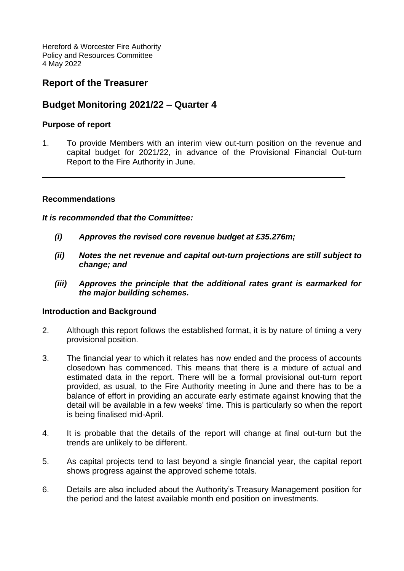Hereford & Worcester Fire Authority Policy and Resources Committee 4 May 2022

## **Report of the Treasurer**

## **Budget Monitoring 2021/22 – Quarter 4**

### **Purpose of report**

1. To provide Members with an interim view out-turn position on the revenue and capital budget for 2021/22, in advance of the Provisional Financial Out-turn Report to the Fire Authority in June.

### **Recommendations**

#### *It is recommended that the Committee:*

- *(i) Approves the revised core revenue budget at £35.276m;*
- *(ii) Notes the net revenue and capital out-turn projections are still subject to change; and*
- *(iii) Approves the principle that the additional rates grant is earmarked for the major building schemes.*

### **Introduction and Background**

- 2. Although this report follows the established format, it is by nature of timing a very provisional position.
- 3. The financial year to which it relates has now ended and the process of accounts closedown has commenced. This means that there is a mixture of actual and estimated data in the report. There will be a formal provisional out-turn report provided, as usual, to the Fire Authority meeting in June and there has to be a balance of effort in providing an accurate early estimate against knowing that the detail will be available in a few weeks' time. This is particularly so when the report is being finalised mid-April.
- 4. It is probable that the details of the report will change at final out-turn but the trends are unlikely to be different.
- 5. As capital projects tend to last beyond a single financial year, the capital report shows progress against the approved scheme totals.
- 6. Details are also included about the Authority's Treasury Management position for the period and the latest available month end position on investments.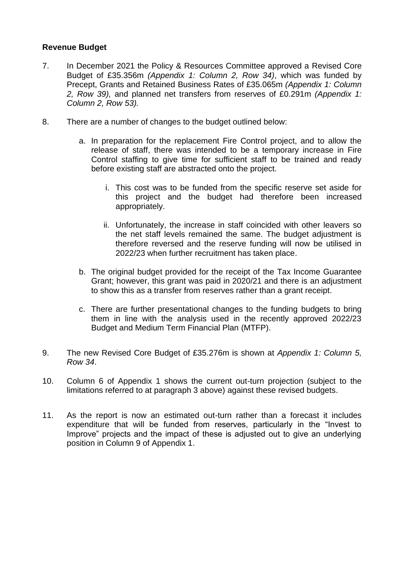### **Revenue Budget**

- 7. In December 2021 the Policy & Resources Committee approved a Revised Core Budget of £35.356m *(Appendix 1: Column 2, Row 34)*, which was funded by Precept, Grants and Retained Business Rates of £35.065m *(Appendix 1: Column 2, Row 39),* and planned net transfers from reserves of £0.291m *(Appendix 1: Column 2, Row 53).*
- 8. There are a number of changes to the budget outlined below:
	- a. In preparation for the replacement Fire Control project, and to allow the release of staff, there was intended to be a temporary increase in Fire Control staffing to give time for sufficient staff to be trained and ready before existing staff are abstracted onto the project.
		- i. This cost was to be funded from the specific reserve set aside for this project and the budget had therefore been increased appropriately.
		- ii. Unfortunately, the increase in staff coincided with other leavers so the net staff levels remained the same. The budget adjustment is therefore reversed and the reserve funding will now be utilised in 2022/23 when further recruitment has taken place.
	- b. The original budget provided for the receipt of the Tax Income Guarantee Grant; however, this grant was paid in 2020/21 and there is an adjustment to show this as a transfer from reserves rather than a grant receipt.
	- c. There are further presentational changes to the funding budgets to bring them in line with the analysis used in the recently approved 2022/23 Budget and Medium Term Financial Plan (MTFP).
- 9. The new Revised Core Budget of £35.276m is shown at *Appendix 1: Column 5, Row 34*.
- 10. Column 6 of Appendix 1 shows the current out-turn projection (subject to the limitations referred to at paragraph 3 above) against these revised budgets.
- 11. As the report is now an estimated out-turn rather than a forecast it includes expenditure that will be funded from reserves, particularly in the "Invest to Improve" projects and the impact of these is adjusted out to give an underlying position in Column 9 of Appendix 1.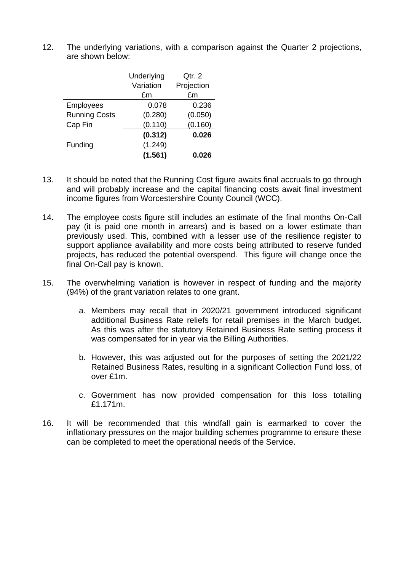12. The underlying variations, with a comparison against the Quarter 2 projections, are shown below:

|                      | Underlying | Qtr. 2     |
|----------------------|------------|------------|
|                      | Variation  | Projection |
|                      | £m         | £m         |
| <b>Employees</b>     | 0.078      | 0.236      |
| <b>Running Costs</b> | (0.280)    | (0.050)    |
| Cap Fin              | (0.110)    | (0.160)    |
|                      | (0.312)    | 0.026      |
| Funding              | (1.249)    |            |
|                      | (1.561)    | 0.026      |

- 13. It should be noted that the Running Cost figure awaits final accruals to go through and will probably increase and the capital financing costs await final investment income figures from Worcestershire County Council (WCC).
- 14. The employee costs figure still includes an estimate of the final months On-Call pay (it is paid one month in arrears) and is based on a lower estimate than previously used. This, combined with a lesser use of the resilience register to support appliance availability and more costs being attributed to reserve funded projects, has reduced the potential overspend. This figure will change once the final On-Call pay is known.
- 15. The overwhelming variation is however in respect of funding and the majority (94%) of the grant variation relates to one grant.
	- a. Members may recall that in 2020/21 government introduced significant additional Business Rate reliefs for retail premises in the March budget. As this was after the statutory Retained Business Rate setting process it was compensated for in year via the Billing Authorities.
	- b. However, this was adjusted out for the purposes of setting the 2021/22 Retained Business Rates, resulting in a significant Collection Fund loss, of over £1m.
	- c. Government has now provided compensation for this loss totalling £1.171m.
- 16. It will be recommended that this windfall gain is earmarked to cover the inflationary pressures on the major building schemes programme to ensure these can be completed to meet the operational needs of the Service.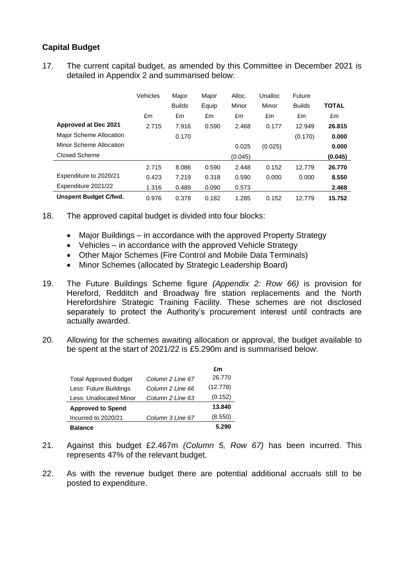## **Capital Budget**

17. The current capital budget, as amended by this Committee in December 2021 is detailed in Appendix 2 and summarised below:

|                              | Vehicles | Major         | Major | Alloc.  | Unalloc | <b>Future</b> |              |
|------------------------------|----------|---------------|-------|---------|---------|---------------|--------------|
|                              |          | <b>Builds</b> | Equip | Minor   | Minor   | <b>Builds</b> | <b>TOTAL</b> |
|                              | £m       | £m            | £m    | £m      | £m      | £m            | £m           |
| Approved at Dec 2021         | 2.715    | 7.916         | 0.590 | 2.468   | 0.177   | 12.949        | 26.815       |
| Major Scheme Allocation      |          | 0.170         |       |         |         | (0.170)       | 0.000        |
| Minor Scheme Allocation      |          |               |       | 0.025   | (0.025) |               | 0.000        |
| Closed Scheme                |          |               |       | (0.045) |         |               | (0.045)      |
|                              | 2.715    | 8.086         | 0.590 | 2.448   | 0.152   | 12.779        | 26.770       |
| Expenditure to 2020/21       | 0.423    | 7.219         | 0.318 | 0.590   | 0.000   | 0.000         | 8.550        |
| Expenditure 2021/22          | 1.316    | 0.489         | 0.090 | 0.573   |         |               | 2.468        |
| <b>Unspent Budget C/fwd.</b> | 0.976    | 0.378         | 0.182 | 1.285   | 0.152   | 12.779        | 15.752       |

- 18. The approved capital budget is divided into four blocks:
	- Major Buildings in accordance with the approved Property Strategy
	- Vehicles in accordance with the approved Vehicle Strategy
	- Other Major Schemes (Fire Control and Mobile Data Terminals)
	- Minor Schemes (allocated by Strategic Leadership Board)
- 19. The Future Buildings Scheme figure *(Appendix 2: Row 66)* is provision for Hereford, Redditch and Broadway fire station replacements and the North Herefordshire Strategic Training Facility. These schemes are not disclosed separately to protect the Authority's procurement interest until contracts are actually awarded.
- 20. Allowing for the schemes awaiting allocation or approval, the budget available to be spent at the start of 2021/22 is £5.290m and is summarised below:

|                              |                  | £m       |
|------------------------------|------------------|----------|
| <b>Total Approved Budget</b> | Column 2 Line 67 | 26.770   |
| Less: Future Buildings       | Column 2 Line 66 | (12.778) |
| Less: Unallocated Minor      | Column 2 Line 63 | (0.152)  |
| <b>Approved to Spend</b>     |                  | 13.840   |
| Incurred to 2020/21          | Column 3 Line 67 | (8.550)  |
| <b>Balance</b>               |                  | 5.290    |

- 21. Against this budget £2.467m *(Column 5, Row 67)* has been incurred. This represents 47% of the relevant budget.
- 22. As with the revenue budget there are potential additional accruals still to be posted to expenditure.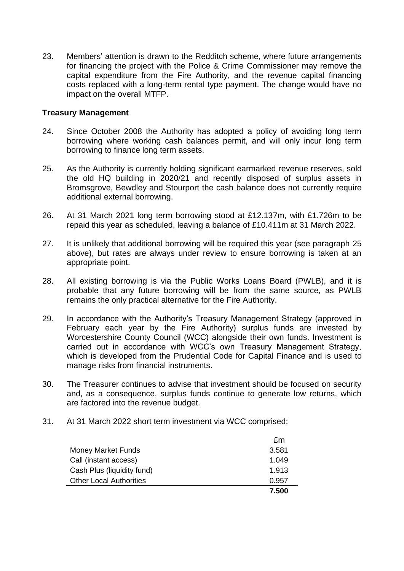23. Members' attention is drawn to the Redditch scheme, where future arrangements for financing the project with the Police & Crime Commissioner may remove the capital expenditure from the Fire Authority, and the revenue capital financing costs replaced with a long-term rental type payment. The change would have no impact on the overall MTFP.

#### **Treasury Management**

- 24. Since October 2008 the Authority has adopted a policy of avoiding long term borrowing where working cash balances permit, and will only incur long term borrowing to finance long term assets.
- 25. As the Authority is currently holding significant earmarked revenue reserves, sold the old HQ building in 2020/21 and recently disposed of surplus assets in Bromsgrove, Bewdley and Stourport the cash balance does not currently require additional external borrowing.
- 26. At 31 March 2021 long term borrowing stood at £12.137m, with £1.726m to be repaid this year as scheduled, leaving a balance of £10.411m at 31 March 2022.
- 27. It is unlikely that additional borrowing will be required this year (see paragraph 25 above), but rates are always under review to ensure borrowing is taken at an appropriate point.
- 28. All existing borrowing is via the Public Works Loans Board (PWLB), and it is probable that any future borrowing will be from the same source, as PWLB remains the only practical alternative for the Fire Authority.
- 29. In accordance with the Authority's Treasury Management Strategy (approved in February each year by the Fire Authority) surplus funds are invested by Worcestershire County Council (WCC) alongside their own funds. Investment is carried out in accordance with WCC's own Treasury Management Strategy, which is developed from the Prudential Code for Capital Finance and is used to manage risks from financial instruments.
- 30. The Treasurer continues to advise that investment should be focused on security and, as a consequence, surplus funds continue to generate low returns, which are factored into the revenue budget.
- 31. At 31 March 2022 short term investment via WCC comprised:

|                                | £m    |
|--------------------------------|-------|
| <b>Money Market Funds</b>      | 3.581 |
| Call (instant access)          | 1.049 |
| Cash Plus (liquidity fund)     | 1.913 |
| <b>Other Local Authorities</b> | 0.957 |
|                                | 7.500 |